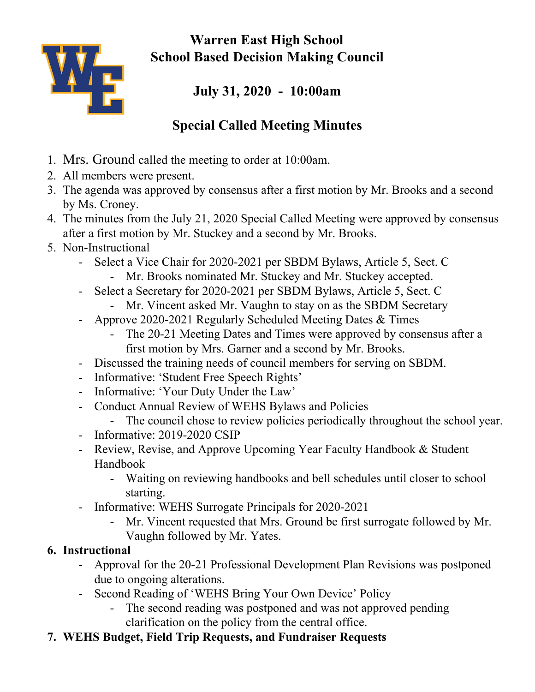

**Warren East High School School Based Decision Making Council**

## **July 31, 2020 - 10:00am**

## **Special Called Meeting Minutes**

- 1. Mrs. Ground called the meeting to order at 10:00am.
- 2. All members were present.
- 3. The agenda was approved by consensus after a first motion by Mr. Brooks and a second by Ms. Croney.
- 4. The minutes from the July 21, 2020 Special Called Meeting were approved by consensus after a first motion by Mr. Stuckey and a second by Mr. Brooks.
- 5. Non-Instructional
	- Select a Vice Chair for 2020-2021 per SBDM Bylaws, Article 5, Sect. C
		- Mr. Brooks nominated Mr. Stuckey and Mr. Stuckey accepted.
	- Select a Secretary for 2020-2021 per SBDM Bylaws, Article 5, Sect. C
		- Mr. Vincent asked Mr. Vaughn to stay on as the SBDM Secretary
	- Approve 2020-2021 Regularly Scheduled Meeting Dates & Times
		- The 20-21 Meeting Dates and Times were approved by consensus after a first motion by Mrs. Garner and a second by Mr. Brooks.
	- Discussed the training needs of council members for serving on SBDM.
	- Informative: 'Student Free Speech Rights'
	- Informative: 'Your Duty Under the Law'
	- Conduct Annual Review of WEHS Bylaws and Policies
		- The council chose to review policies periodically throughout the school year.
	- Informative: 2019-2020 CSIP
	- Review, Revise, and Approve Upcoming Year Faculty Handbook & Student Handbook
		- Waiting on reviewing handbooks and bell schedules until closer to school starting.
	- Informative: WEHS Surrogate Principals for 2020-2021
		- Mr. Vincent requested that Mrs. Ground be first surrogate followed by Mr. Vaughn followed by Mr. Yates.

## **6. Instructional**

- Approval for the 20-21 Professional Development Plan Revisions was postponed due to ongoing alterations.
- Second Reading of 'WEHS Bring Your Own Device' Policy
	- The second reading was postponed and was not approved pending clarification on the policy from the central office.
- **7. WEHS Budget, Field Trip Requests, and Fundraiser Requests**